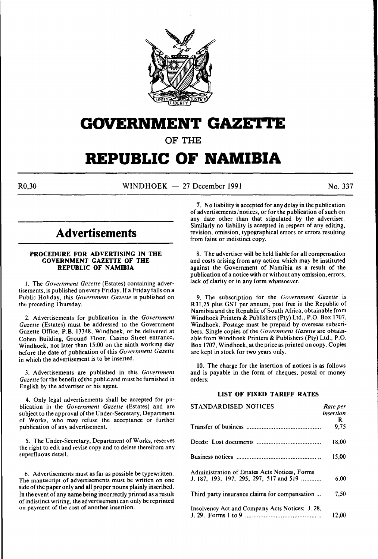

## **GOVERNMENT GAZETTE**

**OF THE** 

# **REPUBLIC OF NAMIBIA**

 $R0.30$  WINDHOEK - 27 December 1991 No. 337

## **Advertisements**

## **PROCEDURE FOR ADVERTISING IN THE GOVERNMENT GAZETTE OF THE REPUBLIC OF NAMIBIA**

I. The *Government Gazette* (Estates) containing advertisements, is published on every Friday. If a Friday falls on a Publi:: Holiday, this *Government Gazette* is published on the preceding Thursday.

2. Advertisements for publication in the *Government Gazette* (Estates) must be addressed to the Government Gazette Office, P.B. 13348, Windhoek, or be delivered at Cohen Building, Ground Floor, Casino Street entrance, Windhoek, not later than 15:00 on the ninth working day before the date of publication of this *Government Gazette*  in which the advertisement is to be inserted.

3. Advertisements are published in this *Government Gazette* for the benefit of the public and must be furnished in English by the advertiser or his agent.

4. Only legal advertisements shall be accepted for publication in the *Government Gazette* (Estates) and are subject to the approval of the Under-Secretary, Department of Works, who may refuse the acceptance or further publication of any advertisement.

*5.* The Under-Secretary, Department of Works, reserves the right to edit and revise copy and to delete therefrom any superfluous detail.

6. Advertisements must as far as possible be typewritten. The manuscript of advertisements must be written on one side of the paper only and all proper nouns plainly inscribed. In the event of any name being incorrectly printed as a result of indistinct writing, the advertisement can only be reprinted on payment of the cost of another insertion.

7. No liability is accepted for any delay in the publication of advertisements/notices, or for the publication of such on any date other than that stipulated by the advertiser. Similarly no liability is accepted in respect of any editing, revision, omission, typographical errors or errors resulting from faint or indistinct copy.

8. The advertiser will be held liable for all compensation and costs arising from any action which may be instituted against the Government of Namibia as a result of the publication of a notice with or without any omission, errors, lack of clarity or in any form whatsoever.

9. The subscription for the *Government Gazette* is R31 ,25 plus GST per annum, post free in the Republic of Namibia and the Republic of South Africa, obtainable from Windhoek Printers & Publishers (Pty) Ltd., P.O. Box 1707, Windhoek. Postage must be prepaid by overseas subscribers. Single copies of the *Government Gazette* are obtainable from Windhoek Printers & Publishers (Pty) Ltd., P.O. Box 1707, Windhoek, at the price as printed on copy. Copies are kept in stock for two years only.

10. The charge for the insertion of notices is as follows and is payable in the form of cheques, postal or money orders:

## **LIST OF FIXED TARIFF RATES**

| STANDARDISED NOTICES                            | Rate per  |
|-------------------------------------------------|-----------|
|                                                 | insertion |
|                                                 | R         |
|                                                 | 9.75      |
|                                                 | 18.00     |
|                                                 | 15.00     |
| Administration of Estates Acts Notices, Forms   |           |
| J. 187, 193, 197, 295, 297, 517 and 519         | 6.00      |
|                                                 |           |
| Third party insurance claims for compensation   | 7.50      |
| Insolvency Act and Company Acts Notices. J. 28, |           |
|                                                 | 12.00     |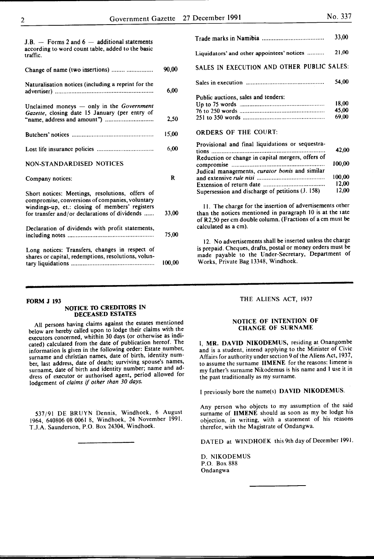| Nο. | 337 |
|-----|-----|
|     |     |

| J.B. $-$ Forms 2 and 6 $-$ additional statements<br>according to word count table, added to the basic<br>traffic.                                                                                      |        |
|--------------------------------------------------------------------------------------------------------------------------------------------------------------------------------------------------------|--------|
| Change of name (two insertions)                                                                                                                                                                        | 90,00  |
| Naturalisation notices (including a reprint for the                                                                                                                                                    | 6,00   |
| Unclaimed moneys $-$ only in the Government<br>Gazette, closing date 15 January (per entry of                                                                                                          | 2.50   |
|                                                                                                                                                                                                        | 15,00  |
|                                                                                                                                                                                                        | 6,00   |
| NON-STANDARDISED NOTICES                                                                                                                                                                               |        |
| Company notices:                                                                                                                                                                                       | R      |
| Short notices: Meetings, resolutions, offers of<br>compromise, conversions of companies, voluntary<br>windings-up, et.: closing of members' registers<br>for transfer and/or declarations of dividends | 33,00  |
| Declaration of dividends with profit statements,                                                                                                                                                       | 75,00  |
| Long notices: Transfers, changes in respect of<br>shares or capital, redemptions, resolutions, volun-                                                                                                  | 100.00 |

| FORM J 193 |  |
|------------|--|
|            |  |

## NOTICE TO CREDITORS IN DECEASED ESTATES

All persons having claims against the estates mentioned below are hereby called upon to lodge their claims with the executors concerned, whithin 30 days (or otherwise as indicated) calculated from the date of publication hereof. The information is given in the following order: Estate number, surname and christian names, date of birth, identity number, last address, date of death; surviving spouse's names, surname, date of birth and identity number; name and address of executor or authorised agent, period allowed for lodgement of *claims if other than 30 days.* 

537/91 DE BRUYN Dennis, Windhoek, 6 August 1964, 640806 08 0061 8, Windhoek, 24 November 1991. T.J.A. Saunderson, P.O. Box 24304, Windhoek.

|                                                           | 33,00  |
|-----------------------------------------------------------|--------|
| Liquidators' and other appointees' notices                | 21,00  |
| SALES IN EXECUTION AND OTHER PUBLIC SALES:                |        |
|                                                           | 54,00  |
| Public auctions, sales and tenders:                       |        |
|                                                           | 18,00  |
|                                                           | 45,00  |
|                                                           | 69,00  |
| <b>ORDERS OF THE COURT:</b>                               |        |
| Provisional and final liquidations or sequestra-          |        |
|                                                           | 42,00  |
| Reduction or change in capital mergers, offers of         | 100,00 |
| Judical managements, curator bonis and similar            | 100,00 |
|                                                           | 12,00  |
|                                                           | 12,00  |
| Supersession and discharge of petitions (J. 158)          |        |
| 11. The charge for the insertion of advertisements other  |        |
| than the notices mentioned in paragraph 10 is at the rate |        |
| of R2,50 per cm double column. (Fractions of a cm must be |        |
| calculated as a cm).                                      |        |

12. No advertisements shall be inserted unless the charge is prepaid. Cheques, drafts, postal or money orders must be made payable to the Under-Secretary, Department of Works, Private Bag 13348, Windhoek.

## THE ALIENS ACT, 1937

#### NOTICE OF INTENTION OF CHANGE OF SURNAME

I, MR. DAVID NIKODEMUS, residing at Onangombe and is a student, intend applying to the Minister of Civic Affairs for authority under section 9 of the Aliens Act, 1937, to assume the surname IIMENE for the reasons: Iimene is my father's surname Nikodemus is his name and I use it in the past traditionally as my surname.

I previously bore the name(s) DAVID NIKODEMUS.

Any person who objects to my assumption of the said surname of IIMENE should as soon as my be lodge his objection, in writing, with a statement of his reasons therefor, with the Magistrate of Ondangwa.

DATED at WINDHOEK this 9th day of December 1991.

D. NIKODEMUS P.O. Box 888 Ondangwa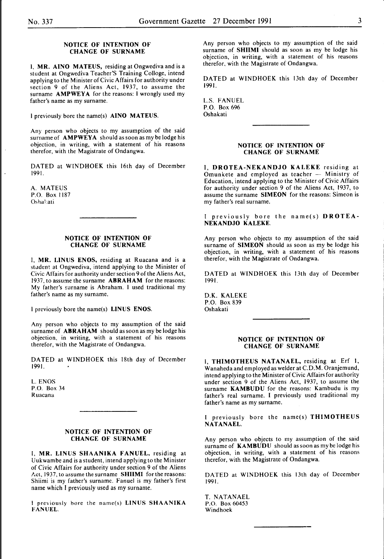### NOTICE OF INTENTION OF CHANGE OF SURNAME

I, MR. AINO MATEUS, residing at Ongwediva and is a student at Ongwediva Teacher'S Training Colloge, intend applying to the Minister of Civic Affairs for authority under section 9 of the Aliens Act, 1937, to assume the surname AMPWEYA for the reasons: I wrongly used my father's name as my surname.

I previously bore the name(s) AINO MATEUS.

Any person who objects to my assumption of the said surname of **AMPWEYA** should as soon as my be lodge his objection, in writing, with a statement of his reasons therefor, with the Magistrate of Ondangwa.

DATED at WINDHOEK this 16th day of December 1991.

A. MATEUS P.O. Box 1187 Oshakati

#### NOTICE OF INTENTION OF CHANGE OF SURNAME

I, MR. LINUS ENOS, residing at Ruacana and is a student at Ongwediva, intend applying to the Minister of Civic Affairs for authority under section 9 of the Aliens Act, 1937, to assume the surname ABRAHAM for the reasons: My father's surname is Abraham. I used traditional my father's name as my surname.

I previously bore the name(s) LINUS ENOS.

Any person who objects to my assumption of the said surname of **ABRAHAM** should as soon as my be lodge his objection, in writing, with a statement of his reasons therefor, with the Magistrate of Ondangwa.

DATED at WINDHOEK this 18th day of December 1991.

L. ENOS P.O. Box 34 Ruacana

#### NOTICE OF INTENTION OF CHANGE OF SURNAME

I, MR. LINUS SHAANIKA FANUEL, residing at Uukwambe and is a student, intend applying to the Minister of Civic Affairs for authority under section 9 of the Aliens Act, 1937, to assume the surname SHIIMI for the reasons: Shiimi is my father's surname. Fanuel is my father's first name which I previously used as my surname.

l previously bore the name(s) LINUS SHAANIKA FANUEL.

Any person who objects to my assumption of the said surname of SHIIMI should as soon as my be lodge his objection, in writing, with a statement of his reasons therefor, with the Magistrate of Ondangwa.

DATED at WINDHOEK this 13th day of December 1991.

L.S. FANUEL P.O. Box 696 Oshakati

#### NOTICE OF INTENTION OF CHANGE OF SURNAME

I, DROTEA-NEKANDJO KALEKE residing at Omunkete and employed as teacher  $-$  Ministry of Education, intend applying to the Minister of Civic Affairs for authority under section 9 of the Aliens Act, 1937, to assume the surname SIMEON for the reasons: Simeon is my father's real surname.

previously bore the name(s)  $DROTEA-$ NEKANDJO KALEKE.

Any person who objects to my assumption of the said surname of **SIMEON** should as soon as my be lodge his objection, in writing, with a statement of his reasons therefor, with the Magistrate of Ondangwa.

DATED at WINDHOEK this 13th day of December 1991.

D.K. KALEKE P.O. Box 839 Oshakati

## NOTICE OF INTENTION OF CHANGE OF SURNAME

I, THIMOTHEUS NATANAEL, residing at Erf I, Wanaheda and employed as welder at C.D.M. Oranjemund, intend applying to the Minister of Civic Affairs for authority under section 9 of the Aliens Act, 1937, to assume the surname KAMBUDU for the reasons: Kambudu is my father's real surname. I previously used traditional my father's name as my surname.

I previously bore the name(s) THIMOTHEUS NATANAEL.

Any person who objects to my assumption of the said surname of **KAMBUDU** should as soon as my be lodge his objection, in writing, with a statement of his reasons therefor, with the Magistrate of Ondangwa.

DATED at WINDHOEK this 13th day of December 1991.

T. NATANAEL P.O. Box 60453 Windhoek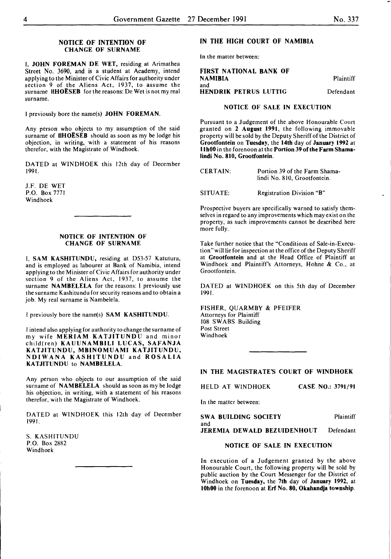### NOTICE OF INTENTION OF CHANGE OF SURNAME

I, JOHN FOREMAN DE WET, residing at Arimathea Street No. 3690, and is a student at Academy, intend applying to the Minister of Civic Affairs for authority under section 9 of the Aliens Act, 1937, to assume the surname IIHOESEB for the reasons: *De* Wet is not my real surname.

I previously bore the name(s) JOHN FOREMAN.

Any person who objects to my assumption of the said surname of IIHOËSEB should as soon as my be lodge his objection, in writing, with a statement of his reasons therefor, with the Magistrate of Windhoek.

DATED at WINDHOEK this 12th day of December 1991.

J.F. DE WET P.O. Box 7771 Windhoek

#### NOTICE OF INTENTION OF CHANGE OF SURNAME

I, SAM KASHITUNDU, residing at D53-57 Katutura, and is employed as labourer at Bank of Namibia, intend applying to the Minister of Civic Affairs for authority under section 9 of the Aliens Act, 1937, to assume the surname NAMBELELA for the reasons: I previously use the surname Kashitundu for security reasons and to obtain a job. My real surname is Nambelela.

I previously bore the name(s) SAM KASHITUNDU.

I intend also applying for authority to change the surname of my wife MERIAM KATJITUNDU and minor child(ren) KAUUNAMBILI LUCAS, SAFANJA KATJITUNDU, MBINOMUAMI KATJITUNDU, NDIWANA KASHITUNDU and ROSALIA KATJITUNDU to NAMBELELA.

Any person who objects to our assumption of the said surname of **NAMBELELA** should as soon as my be lodge his objection, in writing, with a statement of his reasons therefor, with the Magistrate of Windhoek.

DATED at WINDHOEK this 12th day of December 1991.

S. KASHITUNDU P.O. Box 2882 Windhoek

## IN THE HIGH COURT OF NAMIBIA

In the matter between:

FIRST NATIONAL BANK OF NAMIBIA and HENDRIK PETRUS LUTTIG Plaintiff Defendant

## NOTICE OF SALE IN EXECUTION

Pursuant to a Judgement of the above Honourable Court granted on 2 August 1991, the following immovable property will be sold by the Deputy Sheriff of the District of Grootfontein on Tuesday, the 14th day of January 1992 at llhOO in the forenoon at the Portion 39 of the Farm Shamalindi No. 810, Grootfontein.

| <b>CERTAIN:</b> | Portion 39 of the Farm Shama- |
|-----------------|-------------------------------|
|                 | lindi No. 810, Grootfontein.  |
|                 |                               |

SITUATE: Registration Division "B"

Prospective buyers are specifically warned to satisfy themselves in regard to any improvements which may exist on the property, as such improvements cannot be described *here*  more fully.

Take further notice that the "Conditions of Sale-in-Execution"willlie for inspection at the office of the Deputy Sheriff at Grootfontein and at the Head Office of Plaintiff at Windhoek and Plaintiff's Attorneys, Hohne & Co., at Grootfontein.

DATED at WINDHOEK on this 5th day of December 1991.

FISHER, QUARMBY & PFEIFER Attorneys for Plaintiff 108 SWABS Building Post Street Windhoek

#### IN THE MAGISTRATE'S COURT OF WINDHOEK

HELD AT WINDHOEK CASE NO.: 3791/91

In the matter between:

SWA BUILDING SOCIETY and JEREMIA DEWALD BEZUIDENHOUT Plaintiff Defendant

#### NOTICE OF SALE IN EXECUTION

In execution of a Judgement granted by the above Honourable Court, the following property will be sold by public auction by the Court Messenger for the District of Windhoek on Tuesday, the 7th day of January 1992, at IOhOO in the forenoon at Erf No. 80, Okahandja township.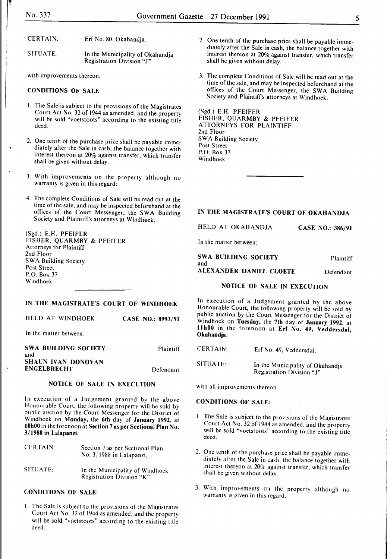$\ddot{\phantom{0}}$ 

| CERTAIN: | Erf No. 80, Okahandja. |
|----------|------------------------|
|----------|------------------------|

SITUATE: In the Municipality of Okahandja Registration Division "J"

with improvements thereon.

## CONDITIONS OF SALE

- I. The Sale is subject to the provisions of the Magistrates Court Act No. 32 of 1944 as amended, and the property will be sold "voetstoots" according to the existing title deed.
- 2. One tenth of the purchase price shall be payable immediately after the Sale in cash, the balance together with interest thereon at 20% against transfer, which transfer shall be given without delay.
- 3. With improvements on the property although no warranty is given in this regard:
- 4. The complete Conditions of Sale will be read out at the time of the sale, and may be inspected beforehand at the offices of the Court Messenger, the SWA Building Society and Plaintiff's attorneys at Windhoek.

| FISHER, QUARMBY & PFEIFER |
|---------------------------|
|                           |
|                           |
|                           |
|                           |
|                           |
|                           |
|                           |

## IN THE MAGISTRATE'S COURT OF WINDHOEK

|  | HELD AT WINDHOEK |  | CASE NO.: 8993/91 |
|--|------------------|--|-------------------|
|  |                  |  |                   |

In the matter between:

| SWA BUILDING SOCIETY      | Plaintiff |
|---------------------------|-----------|
| and                       |           |
| <b>SHAUN IVAN DONOVAN</b> |           |
| ENGELBRECHT               | Defendant |

## NOTICE OF SALE IN EXECUTION

In execution of a Judgement granted by the above Honourable Court, the following property will be sold by public auction by the Court Messenger for the District of Windhoek on Monday, the 6th day of January 1992, at IOhOO in the forenoon at Section 7 as per Sectional Plan No. 3/1988 in Lalapanzi.

| <b>CERTAIN:</b> | Section 7 as per Sectional Plan<br>No. 3/1988 in Lalapanzi.  |
|-----------------|--------------------------------------------------------------|
| SITUATE:        | In the Municipality of Windhoek<br>Registration Division "K" |

## CONDITIONS OF SALE:

I. The Sale is subject to the provisions of the Magistrates Court Act No. 32 of 1944 as amended, and the property will be sold "voetstoots" according to the existing title deed.

- 2. One tenth of the purchase price shall be payable immediately after the Sale in cash, the balance together with interest thereon at 20% against transfer, which transfer shall be given without delay.
- 3. The complete Conditions of Sale will be read out at the time of the sale, and may be inspected beforehand at the offices of the Court Messenger, the SWA Building Society and Plaintiffs attorneys at Windhoek.

(Sgd.) E.H. PFEIFER FISHER, QUARMBY & PFEIFER ATTORNEYS FOR PLAINTIFF 2nd Floor SWA Building Society Post Street P.O. Box 37 Windhoek

### IN THE MAGISTRATE'S COURT OF OKAHANDJA

HELD AT OKAHANDJA CASE NO.: 386/91

In the matter between:

| SWA BUILDING SOCIETY<br>and | <b>Plaintiff</b> |
|-----------------------------|------------------|
| ALEXANDER DANIEL CLOETE     | Defendant        |

## NOTICE OF SALE IN EXECUTION

In execution of a Judgement granted by the above Honourable Court, the following property will be sold by public auction by the Court Messenger for the District of Windhoek on Tuesday, the 7th day of January 1992, at llhOO in the forenoon at Erf No. 49, Veddersdal, Okahandja.

CERTAIN: Erf No. 49, Veddersdal.

SITUATE: In the Municipality of Okahandja Registration Division "J"

with all improvements thereon.

## CONDITIONS OF SALE:

- I. The Sale is subject to the provisions of the Magistrates Court Act No. 32 of 1944 as amended, and the property will be sold "voetstoots" according to the existing title deed.
- 2. One tenth of the purchase price shall be payable immediately after the Sale in cash, the balance together with interest thereon at 20% against transfer, which transfer shall be given without delay.
- 3. With improvements on the property although no warranty is given in this regard.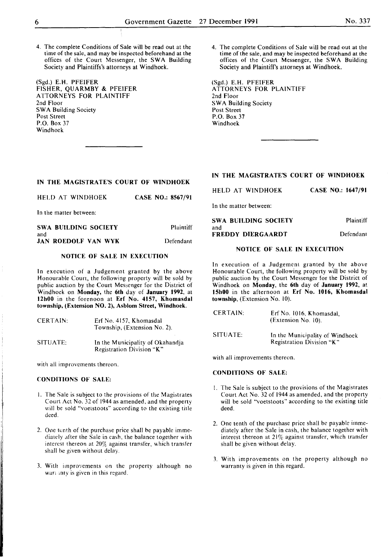4. The complete Conditions of Sale will be read out at the time of the sale, and may be inspected beforehand at the offices of the Court Messenger, the SWA Building Society and Plaintiffs's attorneys at Windhoek.

(Sgd.) E.H. PFEIFER FISHER, QUARMBY & PFEIFER ATTORNEYS FOR PLAINTIFF 2nd Floor SWA Building Society Post Street P.O. Box 37 Windhoek

### IN THE MAGISTRATE'S COURT OF WINDHOEK

HELD AT WINDHOEK CASE NO.: 8567/91

In the matter between:

| SWA BUILDING SOCIETY       | Plaintiff |
|----------------------------|-----------|
| and                        |           |
| <b>JAN ROEDOLF VAN WYK</b> | Defendant |

## NOTICE OF SALE IN EXECUTION

In execution of a Judgement granted by the above Honourable Court, the following property will be sold by public auction by the Court Messenger for the District of Windhoek on Monday, the 6th day of January 1992, at 12h00 in the forenoon at Erf No. 4157, Khomasdal township, (Extension NO.2), Asblom Street, Windhoek.

| CERTAIN: | Erf No. 4157, Khomasdal<br>Township, (Extension No. 2).       |
|----------|---------------------------------------------------------------|
| SITUATE: | In the Municipality of Okahandia<br>Registration Division "K" |

with all improvements thereon.

#### CONDITIONS OF SALE:

- I. The Sale is subject to the provisions of the Magistrates Court Act No. 32 of 1944 as amended, and the property will be sold "voetstoots" according to the existing title deed.
- 2. One tenth of the purchase price shall be payable immediately after the Sale in cash, the balance together with interest thereon at 20% against transfer, which transfer shall be given without delay.
- 3. With improvements on the property although no war; anty is given in this regard.

4. The complete Conditions of Sale will be read out at the time of the sale, and may be inspected beforehand at the offices of the Court Messenger, the SWA Building Society and Plaintiffs attorneys at Windhoek.

(Sgd.) E. H. PFEIFER ATTORNEYS FOR PLAINTIFF 2nd Floor **SWA Building Society** Post Street P.O. Box 37 Windhoek

## IN THE MAGISTRATE'S COURT OF WINDHOEK

| HELD AT WINDHOEK | CASE NO.: 1647/91 |  |
|------------------|-------------------|--|
|                  |                   |  |

In the matter between:

| SWA BUILDING SOCIETY | Plaintiff |
|----------------------|-----------|
| and                  |           |
| FREDDY DIERGAARDT    | Defendant |

#### NOTICE OF SALE IN EXECUTION

In execution of a Judgement granted by the above Honourable Court, the following property will be sold by public auction by the Court Messenger for the District of Windhoek on Monday, the 6th day of January 1992, at 15h00 in the afternoon at Erf No. 1016, Khomasdal township, (Extension No. 10).

| <b>CERTAIN:</b> | Erf No. 1016, Khomasdal,<br>(Extension No. 10).              |
|-----------------|--------------------------------------------------------------|
| SITUATE:        | In the Municipality of Windhoek<br>Registration Division "K" |

with all improvements thereon.

## CONDITIONS OF SALE:

- I. The Sale is subject to the provisions of the Magistrates Court Act No. 32 of 1944 as amended, and the property will be sold "voetstoots" according to the existing title deed.
- 2. One tenth of the purchase price shall be payable immediately after the Sale in cash, the balance together with interest thereon at  $21\%$  against transfer, which transfer shall be given without delay.
- 3. With improvements on the property although no warranty is given in this regard.